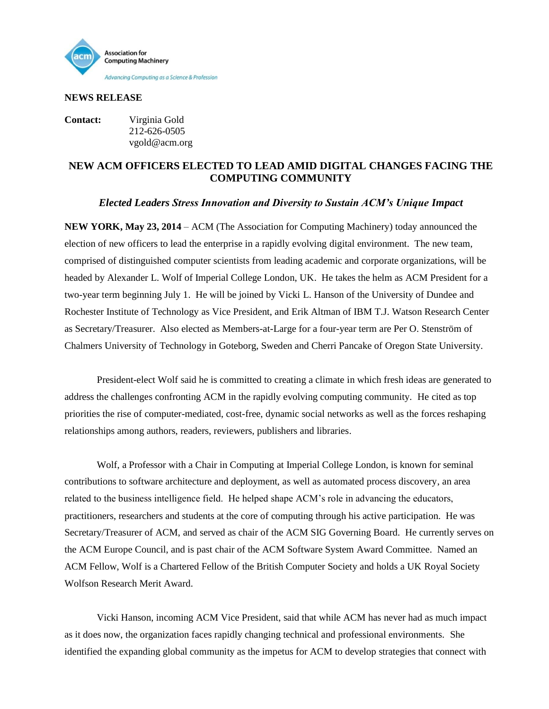

## **NEWS RELEASE**

**Contact:** Virginia Gold 212-626-0505 vgold@acm.org

## **NEW ACM OFFICERS ELECTED TO LEAD AMID DIGITAL CHANGES FACING THE COMPUTING COMMUNITY**

## *Elected Leaders Stress Innovation and Diversity to Sustain ACM's Unique Impact*

**NEW YORK, May 23, 2014** – ACM (The Association for Computing Machinery) today announced the election of new officers to lead the enterprise in a rapidly evolving digital environment. The new team, comprised of distinguished computer scientists from leading academic and corporate organizations, will be headed by Alexander L. Wolf of Imperial College London, UK. He takes the helm as ACM President for a two-year term beginning July 1. He will be joined by Vicki L. Hanson of the University of Dundee and Rochester Institute of Technology as Vice President, and Erik Altman of IBM T.J. Watson Research Center as Secretary/Treasurer. Also elected as Members-at-Large for a four-year term are Per O. Stenström of Chalmers University of Technology in Goteborg, Sweden and Cherri Pancake of Oregon State University.

President-elect Wolf said he is committed to creating a climate in which fresh ideas are generated to address the challenges confronting ACM in the rapidly evolving computing community. He cited as top priorities the rise of computer-mediated, cost-free, dynamic social networks as well as the forces reshaping relationships among authors, readers, reviewers, publishers and libraries.

Wolf, a Professor with a Chair in Computing at Imperial College London, is known for seminal contributions to software architecture and deployment, as well as automated process discovery, an area related to the business intelligence field. He helped shape ACM's role in advancing the educators, practitioners, researchers and students at the core of computing through his active participation. He was Secretary/Treasurer of ACM, and served as chair of the ACM SIG Governing Board. He currently serves on the ACM Europe Council, and is past chair of the ACM Software System Award Committee. Named an ACM Fellow, Wolf is a Chartered Fellow of the British Computer Society and holds a UK Royal Society Wolfson Research Merit Award.

Vicki Hanson, incoming ACM Vice President, said that while ACM has never had as much impact as it does now, the organization faces rapidly changing technical and professional environments. She identified the expanding global community as the impetus for ACM to develop strategies that connect with